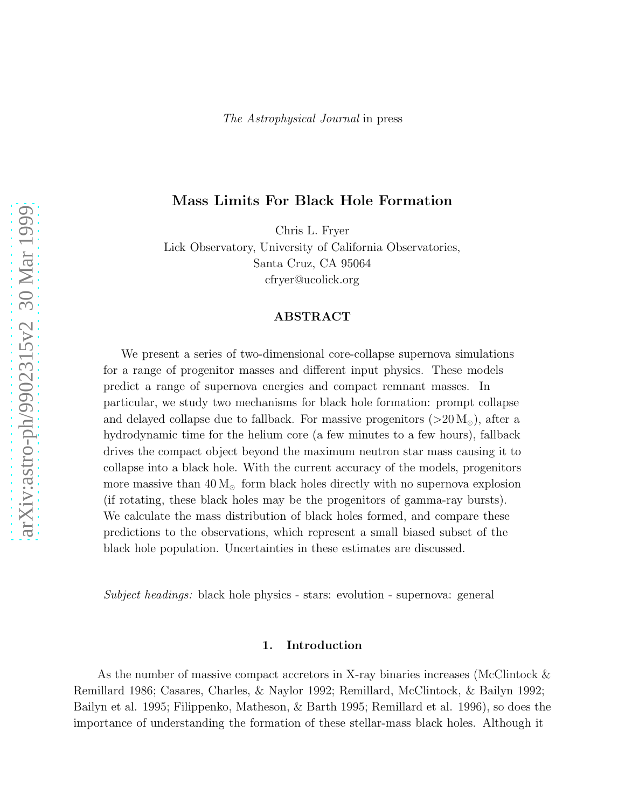# Mass Limits For Black Hole Formation

Chris L. Fryer

Lick Observatory, University of California Observatories, Santa Cruz, CA 95064 cfryer@ucolick.org

### ABSTRACT

We present a series of two-dimensional core-collapse supernova simulations for a range of progenitor masses and different input physics. These models predict a range of supernova energies and compact remnant masses. In particular, we study two mechanisms for black hole formation: prompt collapse and delayed collapse due to fallback. For massive progenitors ( $>20 M_{\odot}$ ), after a hydrodynamic time for the helium core (a few minutes to a few hours), fallback drives the compact object beyond the maximum neutron star mass causing it to collapse into a black hole. With the current accuracy of the models, progenitors more massive than  $40 M_{\odot}$  form black holes directly with no supernova explosion (if rotating, these black holes may be the progenitors of gamma-ray bursts). We calculate the mass distribution of black holes formed, and compare these predictions to the observations, which represent a small biased subset of the black hole population. Uncertainties in these estimates are discussed.

Subject headings: black hole physics - stars: evolution - supernova: general

## 1. Introduction

As the number of massive compact accretors in X-ray binaries increases (McClintock & Remillard 1986; Casares, Charles, & Naylor 1992; Remillard, McClintock, & Bailyn 1992; Bailyn et al. 1995; Filippenko, Matheson, & Barth 1995; Remillard et al. 1996), so does the importance of understanding the formation of these stellar-mass black holes. Although it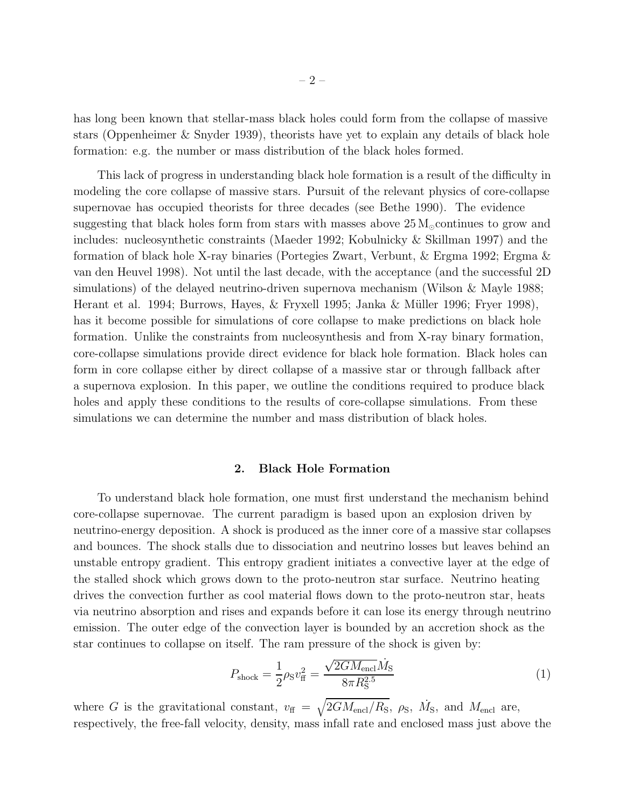<span id="page-1-0"></span>has long been known that stellar-mass black holes could form from the collapse of massive stars (Oppenheimer & Snyder 1939), theorists have yet to explain any details of black hole formation: e.g. the number or mass distribution of the black holes formed.

This lack of progress in understanding black hole formation is a result of the difficulty in modeling the core collapse of massive stars. Pursuit of the relevant physics of core-collapse supernovae has occupied theorists for three decades (see Bethe 1990). The evidence suggesting that black holes form from stars with masses above  $25 M_{\odot}$  continues to grow and includes: nucleosynthetic constraints (Maeder 1992; Kobulnicky & Skillman 1997) and the formation of black hole X-ray binaries (Portegies Zwart, Verbunt, & Ergma 1992; Ergma & van den Heuvel 1998). Not until the last decade, with the acceptance (and the successful 2D simulations) of the delayed neutrino-driven supernova mechanism (Wilson & Mayle 1988; Herant et al. 1994; Burrows, Hayes, & Fryxell 1995; Janka & Müller 1996; Fryer 1998), has it become possible for simulations of core collapse to make predictions on black hole formation. Unlike the constraints from nucleosynthesis and from X-ray binary formation, core-collapse simulations provide direct evidence for black hole formation. Black holes can form in core collapse either by direct collapse of a massive star or through fallback after a supernova explosion. In this paper, we outline the conditions required to produce black holes and apply these conditions to the results of core-collapse simulations. From these simulations we can determine the number and mass distribution of black holes.

#### 2. Black Hole Formation

To understand black hole formation, one must first understand the mechanism behind core-collapse supernovae. The current paradigm is based upon an explosion driven by neutrino-energy deposition. A shock is produced as the inner core of a massive star collapses and bounces. The shock stalls due to dissociation and neutrino losses but leaves behind an unstable entropy gradient. This entropy gradient initiates a convective layer at the edge of the stalled shock which grows down to the proto-neutron star surface. Neutrino heating drives the convection further as cool material flows down to the proto-neutron star, heats via neutrino absorption and rises and expands before it can lose its energy through neutrino emission. The outer edge of the convection layer is bounded by an accretion shock as the star continues to collapse on itself. The ram pressure of the shock is given by:

$$
P_{\text{shock}} = \frac{1}{2} \rho_{\text{S}} v_{\text{ff}}^2 = \frac{\sqrt{2GM_{\text{encl}}} \dot{M}_{\text{S}}}{8\pi R_{\text{S}}^{2.5}} \tag{1}
$$

where G is the gravitational constant,  $v_{\rm ff} = \sqrt{2GM_{\rm encl}/R_{\rm S}}$ ,  $\rho_{\rm S}$ ,  $\dot{M}_{\rm S}$ , and  $M_{\rm encl}$  are, respectively, the free-fall velocity, density, mass infall rate and enclosed mass just above the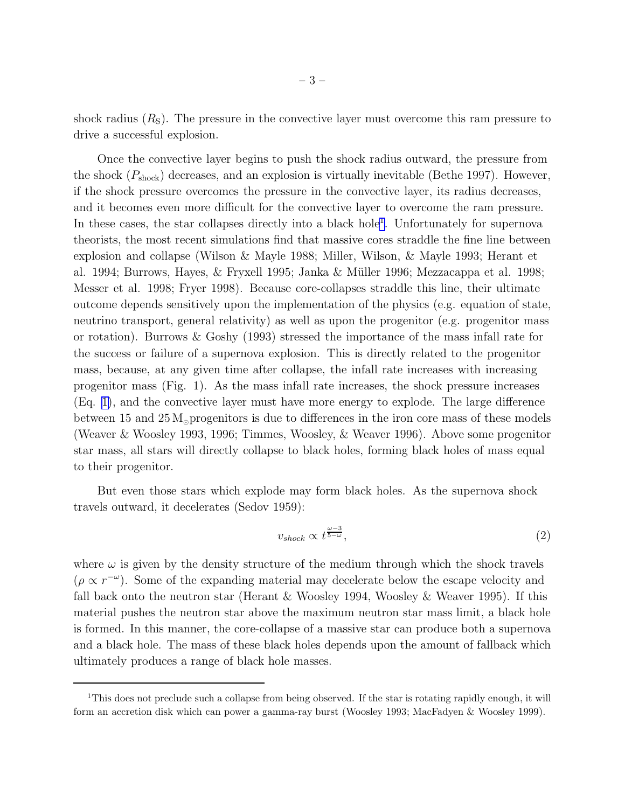shock radius  $(R<sub>S</sub>)$ . The pressure in the convective layer must overcome this ram pressure to drive a successful explosion.

Once the convective layer begins to push the shock radius outward, the pressure from the shock  $(P_{\text{shock}})$  decreases, and an explosion is virtually inevitable (Bethe 1997). However, if the shock pressure overcomes the pressure in the convective layer, its radius decreases, and it becomes even more difficult for the convective layer to overcome the ram pressure. In these cases, the star collapses directly into a black hole<sup>1</sup>. Unfortunately for supernova theorists, the most recent simulations find that massive cores straddle the fine line between explosion and collapse (Wilson & Mayle 1988; Miller, Wilson, & Mayle 1993; Herant et al. 1994; Burrows, Hayes, & Fryxell 1995; Janka & Müller 1996; Mezzacappa et al. 1998; Messer et al. 1998; Fryer 1998). Because core-collapses straddle this line, their ultimate outcome depends sensitively upon the implementation of the physics (e.g. equation of state, neutrino transport, general relativity) as well as upon the progenitor (e.g. progenitor mass or rotation). Burrows & Goshy (1993) stressed the importance of the mass infall rate for the success or failure of a supernova explosion. This is directly related to the progenitor mass, because, at any given time after collapse, the infall rate increases with increasing progenitor mass (Fig. 1). As the mass infall rate increases, the shock pressure increases (Eq. [1\)](#page-1-0), and the convective layer must have more energy to explode. The large difference between 15 and  $25 M_{\odot}$  progenitors is due to differences in the iron core mass of these models (Weaver & Woosley 1993, 1996; Timmes, Woosley, & Weaver 1996). Above some progenitor star mass, all stars will directly collapse to black holes, forming black holes of mass equal to their progenitor.

But even those stars which explode may form black holes. As the supernova shock travels outward, it decelerates (Sedov 1959):

$$
v_{shock} \propto t^{\frac{\omega - 3}{5 - \omega}},\tag{2}
$$

where  $\omega$  is given by the density structure of the medium through which the shock travels  $(\rho \propto r^{-\omega})$ . Some of the expanding material may decelerate below the escape velocity and fall back onto the neutron star (Herant & Woosley 1994, Woosley & Weaver 1995). If this material pushes the neutron star above the maximum neutron star mass limit, a black hole is formed. In this manner, the core-collapse of a massive star can produce both a supernova and a black hole. The mass of these black holes depends upon the amount of fallback which ultimately produces a range of black hole masses.

<sup>&</sup>lt;sup>1</sup>This does not preclude such a collapse from being observed. If the star is rotating rapidly enough, it will form an accretion disk which can power a gamma-ray burst (Woosley 1993; MacFadyen & Woosley 1999).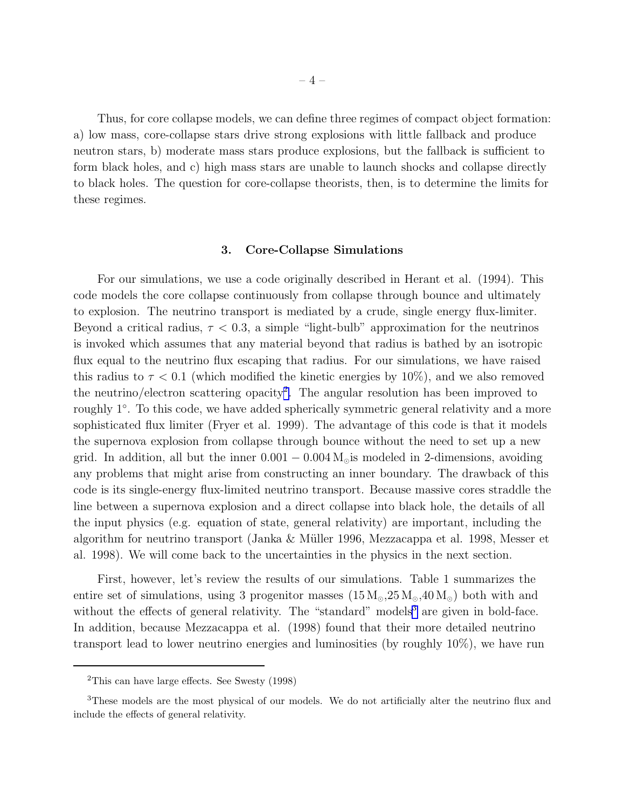Thus, for core collapse models, we can define three regimes of compact object formation: a) low mass, core-collapse stars drive strong explosions with little fallback and produce neutron stars, b) moderate mass stars produce explosions, but the fallback is sufficient to form black holes, and c) high mass stars are unable to launch shocks and collapse directly to black holes. The question for core-collapse theorists, then, is to determine the limits for these regimes.

### 3. Core-Collapse Simulations

For our simulations, we use a code originally described in Herant et al. (1994). This code models the core collapse continuously from collapse through bounce and ultimately to explosion. The neutrino transport is mediated by a crude, single energy flux-limiter. Beyond a critical radius,  $\tau < 0.3$ , a simple "light-bulb" approximation for the neutrinos is invoked which assumes that any material beyond that radius is bathed by an isotropic flux equal to the neutrino flux escaping that radius. For our simulations, we have raised this radius to  $\tau < 0.1$  (which modified the kinetic energies by 10%), and we also removed the neutrino/electron scattering opacity<sup>2</sup>. The angular resolution has been improved to roughly 1◦ . To this code, we have added spherically symmetric general relativity and a more sophisticated flux limiter (Fryer et al. 1999). The advantage of this code is that it models the supernova explosion from collapse through bounce without the need to set up a new grid. In addition, all but the inner  $0.001 - 0.004 M_{\odot}$  is modeled in 2-dimensions, avoiding any problems that might arise from constructing an inner boundary. The drawback of this code is its single-energy flux-limited neutrino transport. Because massive cores straddle the line between a supernova explosion and a direct collapse into black hole, the details of all the input physics (e.g. equation of state, general relativity) are important, including the algorithm for neutrino transport (Janka & M¨uller 1996, Mezzacappa et al. 1998, Messer et al. 1998). We will come back to the uncertainties in the physics in the next section.

First, however, let's review the results of our simulations. Table 1 summarizes the entire set of simulations, using 3 progenitor masses  $(15 M<sub>o</sub>, 25 M<sub>o</sub>, 40 M<sub>o</sub>)$  both with and without the effects of general relativity. The "standard" models<sup>3</sup> are given in bold-face. In addition, because Mezzacappa et al. (1998) found that their more detailed neutrino transport lead to lower neutrino energies and luminosities (by roughly 10%), we have run

<sup>2</sup>This can have large effects. See Swesty (1998)

<sup>&</sup>lt;sup>3</sup>These models are the most physical of our models. We do not artificially alter the neutrino flux and include the effects of general relativity.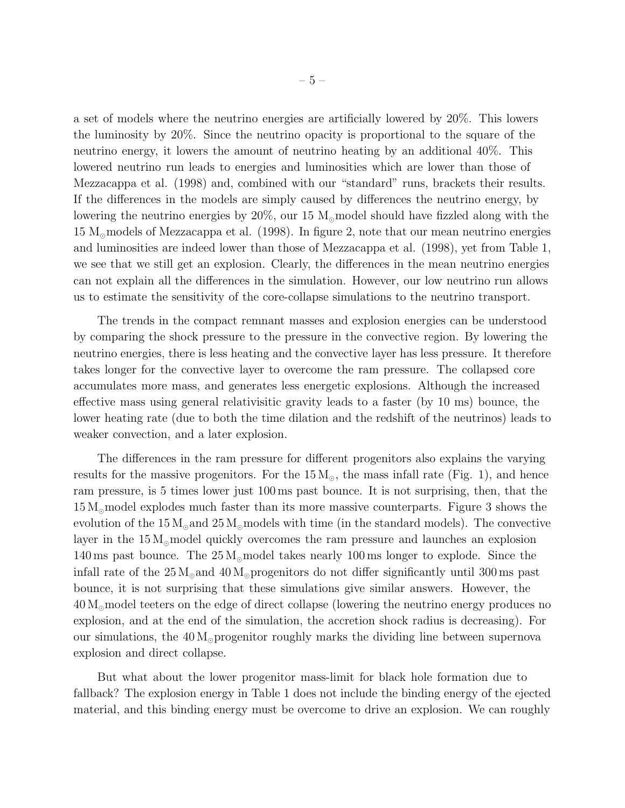a set of models where the neutrino energies are artificially lowered by 20%. This lowers the luminosity by 20%. Since the neutrino opacity is proportional to the square of the neutrino energy, it lowers the amount of neutrino heating by an additional 40%. This lowered neutrino run leads to energies and luminosities which are lower than those of Mezzacappa et al. (1998) and, combined with our "standard" runs, brackets their results. If the differences in the models are simply caused by differences the neutrino energy, by lowering the neutrino energies by  $20\%$ , our 15 M<sub>☉</sub>model should have fizzled along with the  $15 \text{ M}_{\odot}$  models of Mezzacappa et al. (1998). In figure 2, note that our mean neutrino energies and luminosities are indeed lower than those of Mezzacappa et al. (1998), yet from Table 1, we see that we still get an explosion. Clearly, the differences in the mean neutrino energies can not explain all the differences in the simulation. However, our low neutrino run allows us to estimate the sensitivity of the core-collapse simulations to the neutrino transport.

The trends in the compact remnant masses and explosion energies can be understood by comparing the shock pressure to the pressure in the convective region. By lowering the neutrino energies, there is less heating and the convective layer has less pressure. It therefore takes longer for the convective layer to overcome the ram pressure. The collapsed core accumulates more mass, and generates less energetic explosions. Although the increased effective mass using general relativisitic gravity leads to a faster (by 10 ms) bounce, the lower heating rate (due to both the time dilation and the redshift of the neutrinos) leads to weaker convection, and a later explosion.

The differences in the ram pressure for different progenitors also explains the varying results for the massive progenitors. For the  $15 M_{\odot}$ , the mass infall rate (Fig. 1), and hence ram pressure, is 5 times lower just 100 ms past bounce. It is not surprising, then, that the 15 M⊙model explodes much faster than its more massive counterparts. Figure 3 shows the evolution of the  $15 M_{\odot}$  and  $25 M_{\odot}$  models with time (in the standard models). The convective layer in the  $15 M_{\odot}$  model quickly overcomes the ram pressure and launches an explosion 140 ms past bounce. The  $25 M_{\odot}$  model takes nearly 100 ms longer to explode. Since the infall rate of the  $25 M_{\odot}$  and  $40 M_{\odot}$  progenitors do not differ significantly until 300 ms past bounce, it is not surprising that these simulations give similar answers. However, the 40 M⊙model teeters on the edge of direct collapse (lowering the neutrino energy produces no explosion, and at the end of the simulation, the accretion shock radius is decreasing). For our simulations, the  $40 M_{\odot}$  progenitor roughly marks the dividing line between supernova explosion and direct collapse.

But what about the lower progenitor mass-limit for black hole formation due to fallback? The explosion energy in Table 1 does not include the binding energy of the ejected material, and this binding energy must be overcome to drive an explosion. We can roughly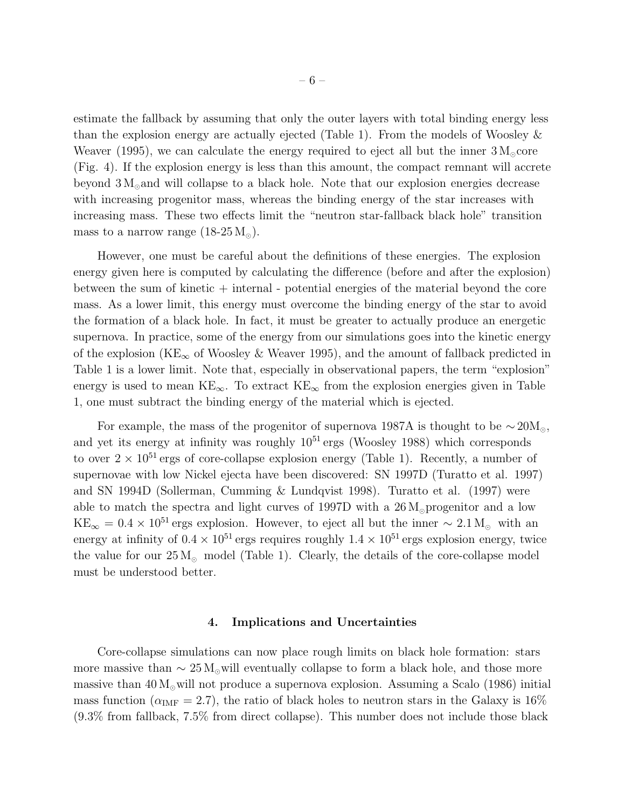estimate the fallback by assuming that only the outer layers with total binding energy less than the explosion energy are actually ejected (Table 1). From the models of Woosley  $\&$ Weaver (1995), we can calculate the energy required to eject all but the inner  $3 M_{\odot}$ core (Fig. 4). If the explosion energy is less than this amount, the compact remnant will accrete beyond  $3 M_{\odot}$  and will collapse to a black hole. Note that our explosion energies decrease with increasing progenitor mass, whereas the binding energy of the star increases with increasing mass. These two effects limit the "neutron star-fallback black hole" transition mass to a narrow range  $(18-25 M<sub>o</sub>)$ .

However, one must be careful about the definitions of these energies. The explosion energy given here is computed by calculating the difference (before and after the explosion) between the sum of kinetic  $+$  internal - potential energies of the material beyond the core mass. As a lower limit, this energy must overcome the binding energy of the star to avoid the formation of a black hole. In fact, it must be greater to actually produce an energetic supernova. In practice, some of the energy from our simulations goes into the kinetic energy of the explosion (KE<sub>∞</sub> of Woosley & Weaver 1995), and the amount of fallback predicted in Table 1 is a lower limit. Note that, especially in observational papers, the term "explosion" energy is used to mean  $KE_{\infty}$ . To extract  $KE_{\infty}$  from the explosion energies given in Table 1, one must subtract the binding energy of the material which is ejected.

For example, the mass of the progenitor of supernova 1987A is thought to be  $\sim 20 M_{\odot}$ , and yet its energy at infinity was roughly  $10^{51}$  ergs (Woosley 1988) which corresponds to over  $2 \times 10^{51}$  ergs of core-collapse explosion energy (Table 1). Recently, a number of supernovae with low Nickel ejecta have been discovered: SN 1997D (Turatto et al. 1997) and SN 1994D (Sollerman, Cumming & Lundqvist 1998). Turatto et al. (1997) were able to match the spectra and light curves of 1997D with a  $26 M_{\odot}$  progenitor and a low  $KE_{\infty} = 0.4 \times 10^{51}$  ergs explosion. However, to eject all but the inner ~ 2.1 M<sub>☉</sub> with an energy at infinity of  $0.4 \times 10^{51}$  ergs requires roughly  $1.4 \times 10^{51}$  ergs explosion energy, twice the value for our  $25 M_{\odot}$  model (Table 1). Clearly, the details of the core-collapse model must be understood better.

#### 4. Implications and Uncertainties

Core-collapse simulations can now place rough limits on black hole formation: stars more massive than  $\sim 25 \,\mathrm{M}_{\odot}$  will eventually collapse to form a black hole, and those more massive than  $40 M_{\odot}$  will not produce a supernova explosion. Assuming a Scalo (1986) initial mass function ( $\alpha_{\text{IMF}} = 2.7$ ), the ratio of black holes to neutron stars in the Galaxy is 16% (9.3% from fallback, 7.5% from direct collapse). This number does not include those black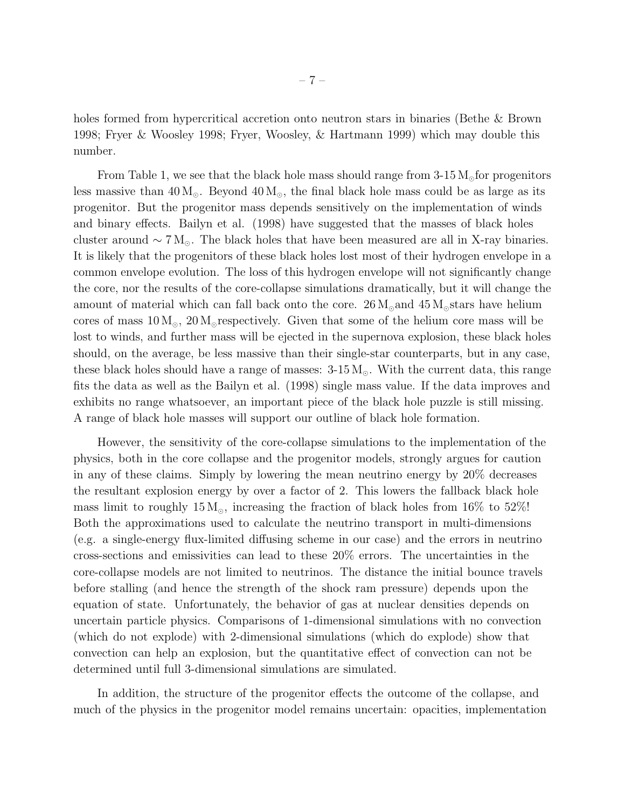holes formed from hypercritical accretion onto neutron stars in binaries (Bethe & Brown 1998; Fryer & Woosley 1998; Fryer, Woosley, & Hartmann 1999) which may double this number.

From Table 1, we see that the black hole mass should range from  $3\textrm{-}15\,\mathrm{M}_{\odot}$  for progenitors less massive than  $40 M_{\odot}$ . Beyond  $40 M_{\odot}$ , the final black hole mass could be as large as its progenitor. But the progenitor mass depends sensitively on the implementation of winds and binary effects. Bailyn et al. (1998) have suggested that the masses of black holes cluster around  $\sim 7 \,\text{M}_\odot$ . The black holes that have been measured are all in X-ray binaries. It is likely that the progenitors of these black holes lost most of their hydrogen envelope in a common envelope evolution. The loss of this hydrogen envelope will not significantly change the core, nor the results of the core-collapse simulations dramatically, but it will change the amount of material which can fall back onto the core.  $26 M_{\odot}$  and  $45 M_{\odot}$  stars have helium cores of mass  $10 M_{\odot}$ ,  $20 M_{\odot}$  respectively. Given that some of the helium core mass will be lost to winds, and further mass will be ejected in the supernova explosion, these black holes should, on the average, be less massive than their single-star counterparts, but in any case, these black holes should have a range of masses:  $3-15 M_{\odot}$ . With the current data, this range fits the data as well as the Bailyn et al. (1998) single mass value. If the data improves and exhibits no range whatsoever, an important piece of the black hole puzzle is still missing. A range of black hole masses will support our outline of black hole formation.

However, the sensitivity of the core-collapse simulations to the implementation of the physics, both in the core collapse and the progenitor models, strongly argues for caution in any of these claims. Simply by lowering the mean neutrino energy by 20% decreases the resultant explosion energy by over a factor of 2. This lowers the fallback black hole mass limit to roughly  $15 M_{\odot}$ , increasing the fraction of black holes from  $16\%$  to  $52\%$ ! Both the approximations used to calculate the neutrino transport in multi-dimensions (e.g. a single-energy flux-limited diffusing scheme in our case) and the errors in neutrino cross-sections and emissivities can lead to these 20% errors. The uncertainties in the core-collapse models are not limited to neutrinos. The distance the initial bounce travels before stalling (and hence the strength of the shock ram pressure) depends upon the equation of state. Unfortunately, the behavior of gas at nuclear densities depends on uncertain particle physics. Comparisons of 1-dimensional simulations with no convection (which do not explode) with 2-dimensional simulations (which do explode) show that convection can help an explosion, but the quantitative effect of convection can not be determined until full 3-dimensional simulations are simulated.

In addition, the structure of the progenitor effects the outcome of the collapse, and much of the physics in the progenitor model remains uncertain: opacities, implementation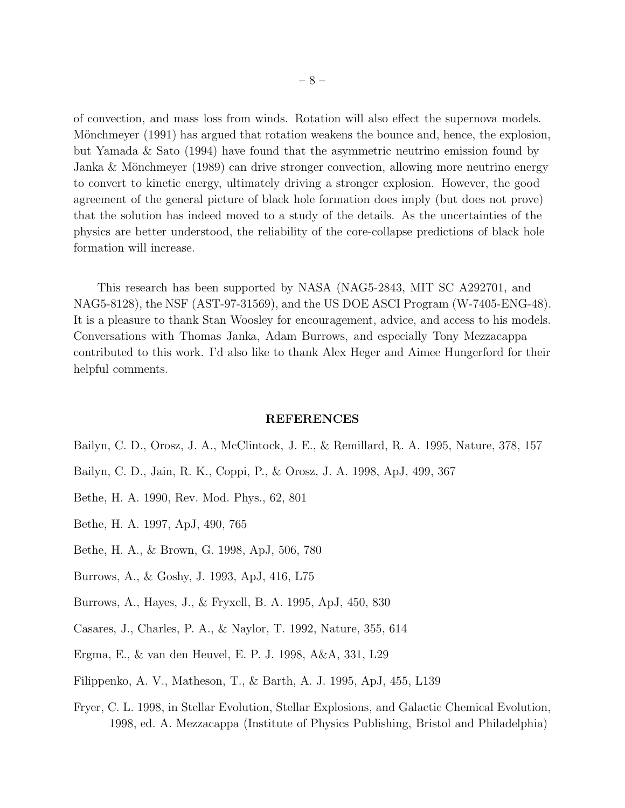of convection, and mass loss from winds. Rotation will also effect the supernova models. Mönchmeyer (1991) has argued that rotation weakens the bounce and, hence, the explosion, but Yamada & Sato (1994) have found that the asymmetric neutrino emission found by Janka & Mönchmeyer  $(1989)$  can drive stronger convection, allowing more neutrino energy to convert to kinetic energy, ultimately driving a stronger explosion. However, the good agreement of the general picture of black hole formation does imply (but does not prove) that the solution has indeed moved to a study of the details. As the uncertainties of the physics are better understood, the reliability of the core-collapse predictions of black hole formation will increase.

This research has been supported by NASA (NAG5-2843, MIT SC A292701, and NAG5-8128), the NSF (AST-97-31569), and the US DOE ASCI Program (W-7405-ENG-48). It is a pleasure to thank Stan Woosley for encouragement, advice, and access to his models. Conversations with Thomas Janka, Adam Burrows, and especially Tony Mezzacappa contributed to this work. I'd also like to thank Alex Heger and Aimee Hungerford for their helpful comments.

#### REFERENCES

- Bailyn, C. D., Orosz, J. A., McClintock, J. E., & Remillard, R. A. 1995, Nature, 378, 157
- Bailyn, C. D., Jain, R. K., Coppi, P., & Orosz, J. A. 1998, ApJ, 499, 367
- Bethe, H. A. 1990, Rev. Mod. Phys., 62, 801
- Bethe, H. A. 1997, ApJ, 490, 765
- Bethe, H. A., & Brown, G. 1998, ApJ, 506, 780
- Burrows, A., & Goshy, J. 1993, ApJ, 416, L75
- Burrows, A., Hayes, J., & Fryxell, B. A. 1995, ApJ, 450, 830
- Casares, J., Charles, P. A., & Naylor, T. 1992, Nature, 355, 614
- Ergma, E., & van den Heuvel, E. P. J. 1998, A&A, 331, L29
- Filippenko, A. V., Matheson, T., & Barth, A. J. 1995, ApJ, 455, L139
- Fryer, C. L. 1998, in Stellar Evolution, Stellar Explosions, and Galactic Chemical Evolution, 1998, ed. A. Mezzacappa (Institute of Physics Publishing, Bristol and Philadelphia)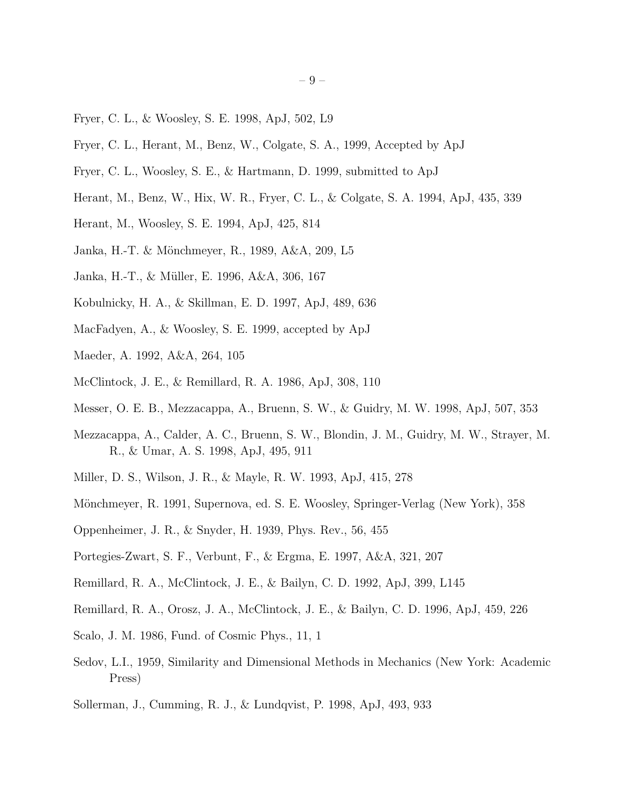- Fryer, C. L., & Woosley, S. E. 1998, ApJ, 502, L9
- Fryer, C. L., Herant, M., Benz, W., Colgate, S. A., 1999, Accepted by ApJ
- Fryer, C. L., Woosley, S. E., & Hartmann, D. 1999, submitted to ApJ
- Herant, M., Benz, W., Hix, W. R., Fryer, C. L., & Colgate, S. A. 1994, ApJ, 435, 339
- Herant, M., Woosley, S. E. 1994, ApJ, 425, 814
- Janka, H.-T. & M¨onchmeyer, R., 1989, A&A, 209, L5
- Janka, H.-T., & Müller, E. 1996, A&A, 306, 167
- Kobulnicky, H. A., & Skillman, E. D. 1997, ApJ, 489, 636
- MacFadyen, A., & Woosley, S. E. 1999, accepted by ApJ
- Maeder, A. 1992, A&A, 264, 105
- McClintock, J. E., & Remillard, R. A. 1986, ApJ, 308, 110
- Messer, O. E. B., Mezzacappa, A., Bruenn, S. W., & Guidry, M. W. 1998, ApJ, 507, 353
- Mezzacappa, A., Calder, A. C., Bruenn, S. W., Blondin, J. M., Guidry, M. W., Strayer, M. R., & Umar, A. S. 1998, ApJ, 495, 911
- Miller, D. S., Wilson, J. R., & Mayle, R. W. 1993, ApJ, 415, 278
- Mönchmeyer, R. 1991, Supernova, ed. S. E. Woosley, Springer-Verlag (New York), 358
- Oppenheimer, J. R., & Snyder, H. 1939, Phys. Rev., 56, 455
- Portegies-Zwart, S. F., Verbunt, F., & Ergma, E. 1997, A&A, 321, 207
- Remillard, R. A., McClintock, J. E., & Bailyn, C. D. 1992, ApJ, 399, L145
- Remillard, R. A., Orosz, J. A., McClintock, J. E., & Bailyn, C. D. 1996, ApJ, 459, 226
- Scalo, J. M. 1986, Fund. of Cosmic Phys., 11, 1
- Sedov, L.I., 1959, Similarity and Dimensional Methods in Mechanics (New York: Academic Press)
- Sollerman, J., Cumming, R. J., & Lundqvist, P. 1998, ApJ, 493, 933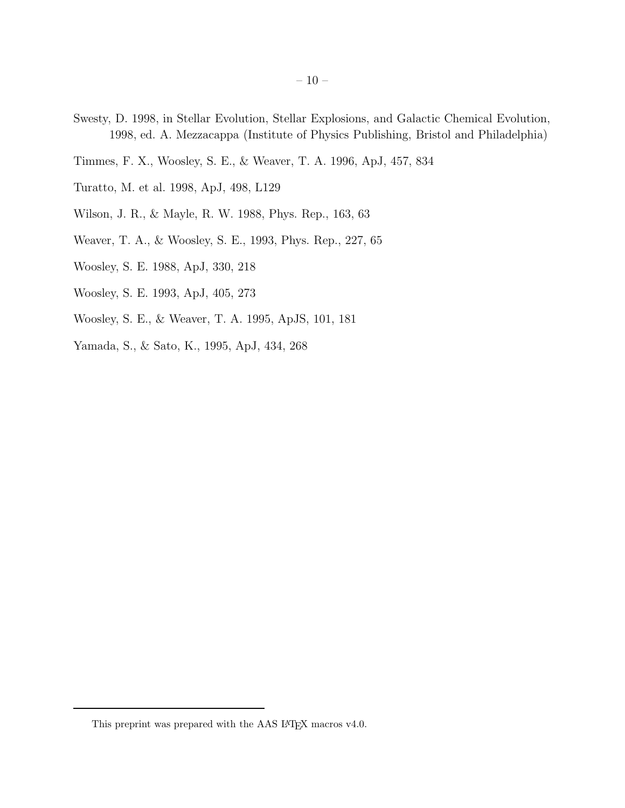- Swesty, D. 1998, in Stellar Evolution, Stellar Explosions, and Galactic Chemical Evolution, 1998, ed. A. Mezzacappa (Institute of Physics Publishing, Bristol and Philadelphia)
- Timmes, F. X., Woosley, S. E., & Weaver, T. A. 1996, ApJ, 457, 834
- Turatto, M. et al. 1998, ApJ, 498, L129
- Wilson, J. R., & Mayle, R. W. 1988, Phys. Rep., 163, 63
- Weaver, T. A., & Woosley, S. E., 1993, Phys. Rep., 227, 65
- Woosley, S. E. 1988, ApJ, 330, 218
- Woosley, S. E. 1993, ApJ, 405, 273
- Woosley, S. E., & Weaver, T. A. 1995, ApJS, 101, 181
- Yamada, S., & Sato, K., 1995, ApJ, 434, 268

This preprint was prepared with the AAS IATEX macros v4.0.  $\,$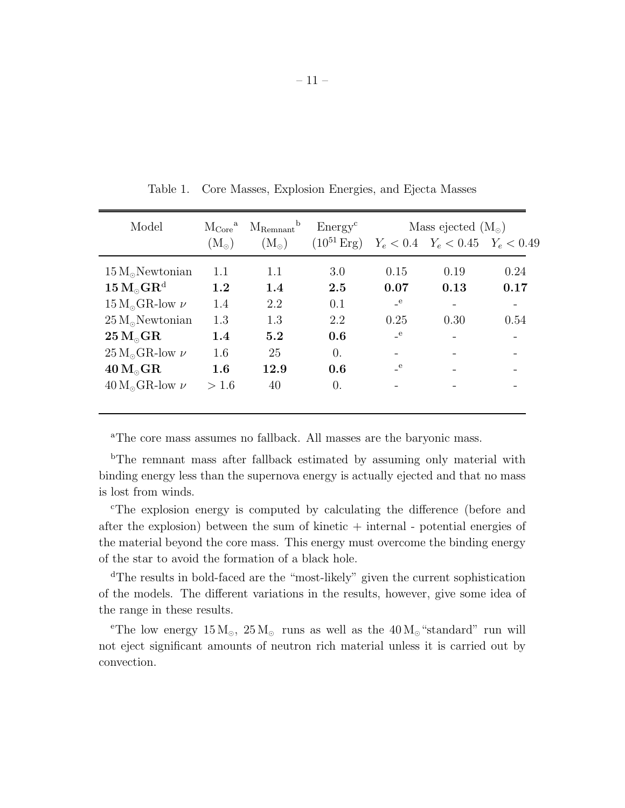| Model                                                                                      | $\rm{M_{Core}}^a$ | b<br>$M_{\rm Remnant}$ | Energy <sup>c</sup> | Mass ejected $(M_{\odot})$ |                                       |      |
|--------------------------------------------------------------------------------------------|-------------------|------------------------|---------------------|----------------------------|---------------------------------------|------|
|                                                                                            | $\rm (M_{\odot})$ | $(M_{\odot})$          | $(10^{51}$ Erg)     |                            | $Y_e < 0.4$ $Y_e < 0.45$ $Y_e < 0.49$ |      |
| $15 M_{\odot}$ Newtonian                                                                   | 1.1               | 1.1                    | 3.0                 | 0.15                       | 0.19                                  | 0.24 |
| $15 M_{\odot} \text{GR}^{\text{d}}$                                                        | 1.2               | 1.4                    | 2.5                 | 0.07                       | 0.13                                  | 0.17 |
| $15\,\ensuremath{\mathrm{M}_\odot}\xspace\ensuremath{\mathrm{GR}\xspace\xspace}$ low $\nu$ | 1.4               | 2.2                    | 0.1                 | $\mathbf{e}$               |                                       |      |
| $25 M_{\odot}$ Newtonian                                                                   | 1.3               | 1.3                    | 2.2                 | 0.25                       | 0.30                                  | 0.54 |
| $25 M_{\odot} \text{GR}$                                                                   | 1.4               | 5.2                    | 0.6                 | $\mathbf{e}$               |                                       |      |
| $25 M_{\odot}$ GR-low $\nu$                                                                | 1.6               | 25                     | $\overline{0}$ .    |                            |                                       |      |
| $40 M_{\odot}$ GR                                                                          | 1.6               | 12.9                   | 0.6                 | e e                        |                                       |      |
| $40 M_{\odot}$ GR-low $\nu$                                                                | > 1.6             | 40                     | 0.                  |                            |                                       |      |
|                                                                                            |                   |                        |                     |                            |                                       |      |

Table 1. Core Masses, Explosion Energies, and Ejecta Masses

<sup>a</sup>The core mass assumes no fallback. All masses are the baryonic mass.

<sup>b</sup>The remnant mass after fallback estimated by assuming only material with binding energy less than the supernova energy is actually ejected and that no mass is lost from winds.

<sup>c</sup>The explosion energy is computed by calculating the difference (before and after the explosion) between the sum of kinetic  $+$  internal - potential energies of the material beyond the core mass. This energy must overcome the binding energy of the star to avoid the formation of a black hole.

<sup>d</sup>The results in bold-faced are the "most-likely" given the current sophistication of the models. The different variations in the results, however, give some idea of the range in these results.

<sup>e</sup>The low energy  $15 M_{\odot}$ ,  $25 M_{\odot}$  runs as well as the  $40 M_{\odot}$  "standard" run will not eject significant amounts of neutron rich material unless it is carried out by convection.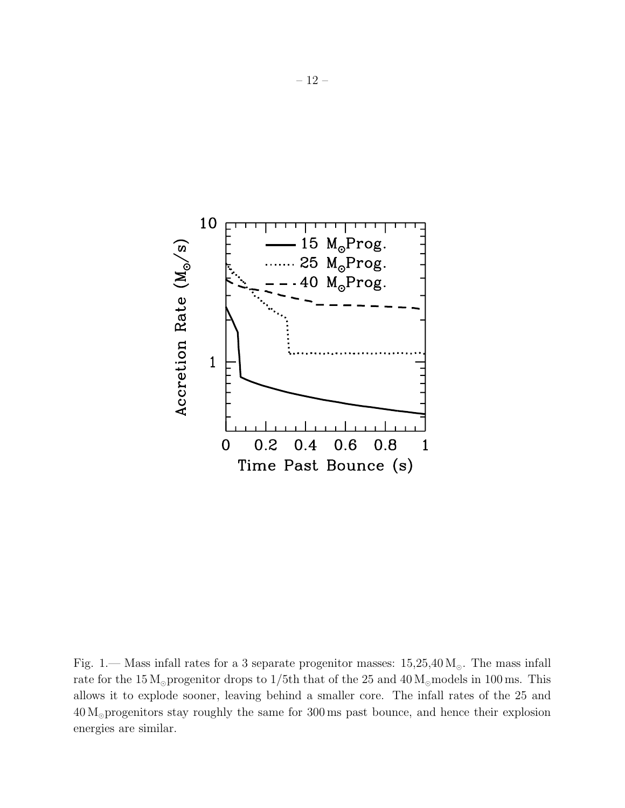

Fig. 1.— Mass infall rates for a 3 separate progenitor masses:  $15,25,40 \,\mathrm{M_{\odot}}$ . The mass infall rate for the 15 M<sub>☉</sub> progenitor drops to 1/5th that of the 25 and  $40 M_\odot$  models in 100 ms. This allows it to explode sooner, leaving behind a smaller core. The infall rates of the 25 and 40 M⊙progenitors stay roughly the same for 300 ms past bounce, and hence their explosion energies are similar.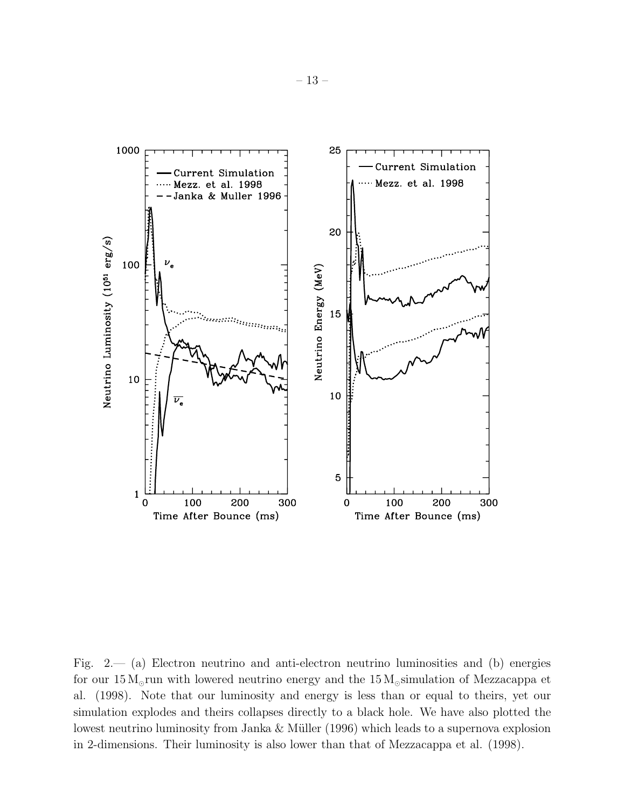

Fig. 2.— (a) Electron neutrino and anti-electron neutrino luminosities and (b) energies for our  $15 M<sub>°</sub>$ run with lowered neutrino energy and the  $15 M<sub>°</sub>$ simulation of Mezzacappa et al. (1998). Note that our luminosity and energy is less than or equal to theirs, yet our simulation explodes and theirs collapses directly to a black hole. We have also plotted the lowest neutrino luminosity from Janka  $&$  Müller (1996) which leads to a supernova explosion in 2-dimensions. Their luminosity is also lower than that of Mezzacappa et al. (1998).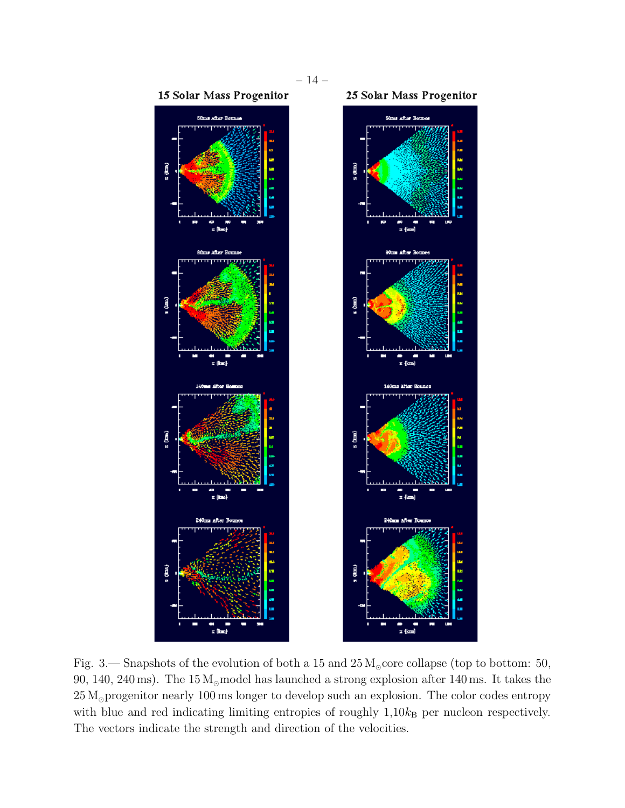

Fig. 3.— Snapshots of the evolution of both a 15 and  $25 M_{\odot}$  core collapse (top to bottom: 50, 90, 140, 240 ms). The 15 M<sub>☉</sub> model has launched a strong explosion after 140 ms. It takes the 25 M<sub>☉</sub>progenitor nearly 100 ms longer to develop such an explosion. The color codes entropy with blue and red indicating limiting entropies of roughly  $1,10k_B$  per nucleon respectively. The vectors indicate the strength and direction of the velocities.